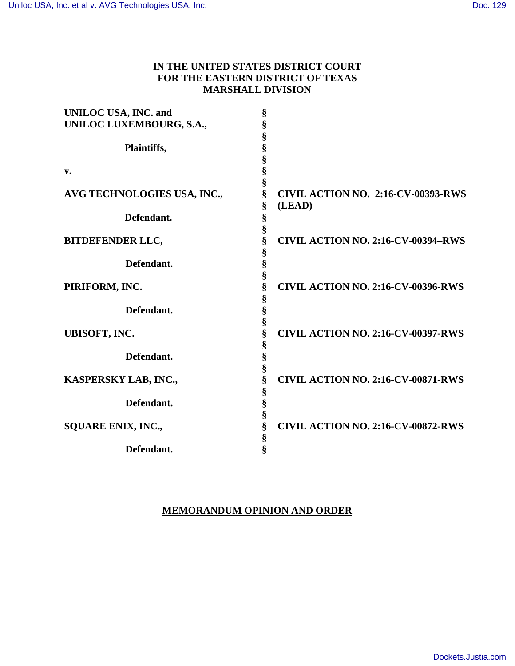# **IN THE UNITED STATES DISTRICT COURT FOR THE EASTERN DISTRICT OF TEXAS MARSHALL DIVISION**

| <b>UNILOC USA, INC. and</b> | §      |                                           |
|-----------------------------|--------|-------------------------------------------|
| UNILOC LUXEMBOURG, S.A.,    | §      |                                           |
|                             | §      |                                           |
| Plaintiffs,                 | §      |                                           |
|                             | §      |                                           |
| v.                          | §      |                                           |
|                             | §      |                                           |
| AVG TECHNOLOGIES USA, INC., | §      | <b>CIVIL ACTION NO. 2:16-CV-00393-RWS</b> |
|                             | §      | (LEAD)                                    |
| Defendant.                  |        |                                           |
|                             | §      |                                           |
|                             | §      |                                           |
| <b>BITDEFENDER LLC,</b>     | §      | <b>CIVIL ACTION NO. 2:16-CV-00394-RWS</b> |
|                             | §      |                                           |
| Defendant.                  | §      |                                           |
|                             | §      |                                           |
| PIRIFORM, INC.              | §      | <b>CIVIL ACTION NO. 2:16-CV-00396-RWS</b> |
|                             | §      |                                           |
| Defendant.                  | §      |                                           |
|                             | §      |                                           |
| <b>UBISOFT, INC.</b>        | §      | <b>CIVIL ACTION NO. 2:16-CV-00397-RWS</b> |
|                             | §      |                                           |
| Defendant.                  | §      |                                           |
|                             | §      |                                           |
| KASPERSKY LAB, INC.,        | §      | CIVIL ACTION NO. 2:16-CV-00871-RWS        |
|                             |        |                                           |
| Defendant.                  | §      |                                           |
|                             | §      |                                           |
|                             | §      |                                           |
| <b>SQUARE ENIX, INC.,</b>   | §      | <b>CIVIL ACTION NO. 2:16-CV-00872-RWS</b> |
|                             | §<br>§ |                                           |
| Defendant.                  |        |                                           |
|                             |        |                                           |

## **MEMORANDUM OPINION AND ORDER**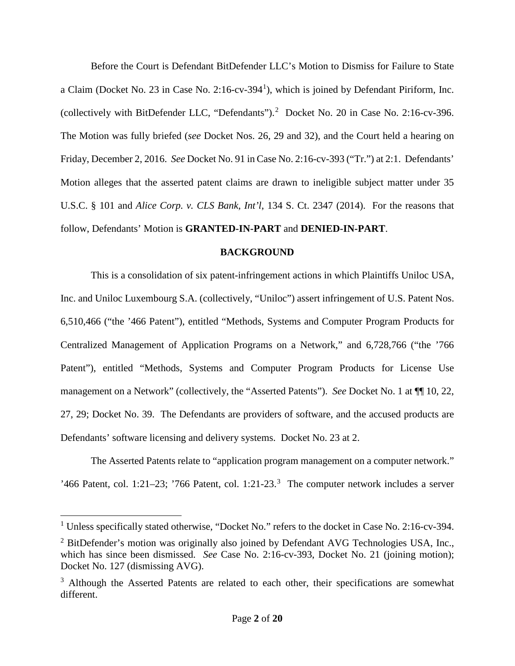Before the Court is Defendant BitDefender LLC's Motion to Dismiss for Failure to State a Claim (Docket No. 23 in Case No. 2:16-cv-394<sup>1</sup>), which is joined by Defendant Piriform, Inc. (collectively with BitDefender LLC, "Defendants").<sup>2</sup> Docket No. 20 in Case No. 2:16-cv-396. The Motion was fully briefed (*see* Docket Nos. 26, 29 and 32), and the Court held a hearing on Friday, December 2, 2016. *See* Docket No. 91 in Case No. 2:16-cv-393 ("Tr.") at 2:1. Defendants' Motion alleges that the asserted patent claims are drawn to ineligible subject matter under 35 U.S.C. § 101 and *Alice Corp. v. CLS Bank, Int'l*, 134 S. Ct. 2347 (2014). For the reasons that follow, Defendants' Motion is **GRANTED-IN-PART** and **DENIED-IN-PART**.

### **BACKGROUND**

This is a consolidation of six patent-infringement actions in which Plaintiffs Uniloc USA, Inc. and Uniloc Luxembourg S.A. (collectively, "Uniloc") assert infringement of U.S. Patent Nos. 6,510,466 ("the '466 Patent"), entitled "Methods, Systems and Computer Program Products for Centralized Management of Application Programs on a Network," and 6,728,766 ("the '766 Patent"), entitled "Methods, Systems and Computer Program Products for License Use management on a Network" (collectively, the "Asserted Patents"). *See* Docket No. 1 at ¶¶ 10, 22, 27, 29; Docket No. 39. The Defendants are providers of software, and the accused products are Defendants' software licensing and delivery systems. Docket No. 23 at 2.

The Asserted Patents relate to "application program management on a computer network." '466 Patent, col. 1:21-23; '766 Patent, col. 1:21-23.<sup>3</sup> The computer network includes a server

 $\overline{a}$ 

<sup>&</sup>lt;sup>1</sup> Unless specifically stated otherwise, "Docket No." refers to the docket in Case No. 2:16-cv-394.

<sup>&</sup>lt;sup>2</sup> BitDefender's motion was originally also joined by Defendant AVG Technologies USA, Inc., which has since been dismissed. *See* Case No. 2:16-cv-393, Docket No. 21 (joining motion); Docket No. 127 (dismissing AVG).

<sup>&</sup>lt;sup>3</sup> Although the Asserted Patents are related to each other, their specifications are somewhat different.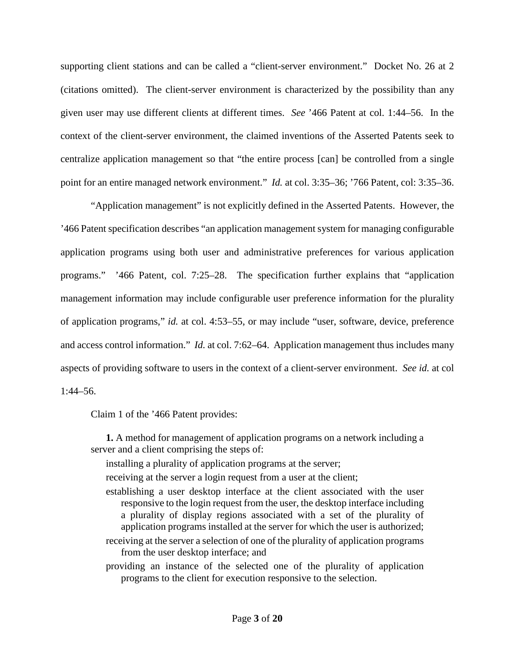supporting client stations and can be called a "client-server environment." Docket No. 26 at 2 (citations omitted). The client-server environment is characterized by the possibility than any given user may use different clients at different times. *See* '466 Patent at col. 1:44–56. In the context of the client-server environment, the claimed inventions of the Asserted Patents seek to centralize application management so that "the entire process [can] be controlled from a single point for an entire managed network environment." *Id.* at col. 3:35–36; '766 Patent, col: 3:35–36.

"Application management" is not explicitly defined in the Asserted Patents. However, the '466 Patent specification describes "an application management system for managing configurable application programs using both user and administrative preferences for various application programs." '466 Patent, col. 7:25–28. The specification further explains that "application management information may include configurable user preference information for the plurality of application programs," *id.* at col. 4:53–55, or may include "user, software, device, preference and access control information." *Id.* at col. 7:62–64. Application management thus includes many aspects of providing software to users in the context of a client-server environment. *See id.* at col 1:44–56.

Claim 1 of the '466 Patent provides:

**1.** A method for management of application programs on a network including a server and a client comprising the steps of:

installing a plurality of application programs at the server;

receiving at the server a login request from a user at the client;

- establishing a user desktop interface at the client associated with the user responsive to the login request from the user, the desktop interface including a plurality of display regions associated with a set of the plurality of application programs installed at the server for which the user is authorized;
- receiving at the server a selection of one of the plurality of application programs from the user desktop interface; and

providing an instance of the selected one of the plurality of application programs to the client for execution responsive to the selection.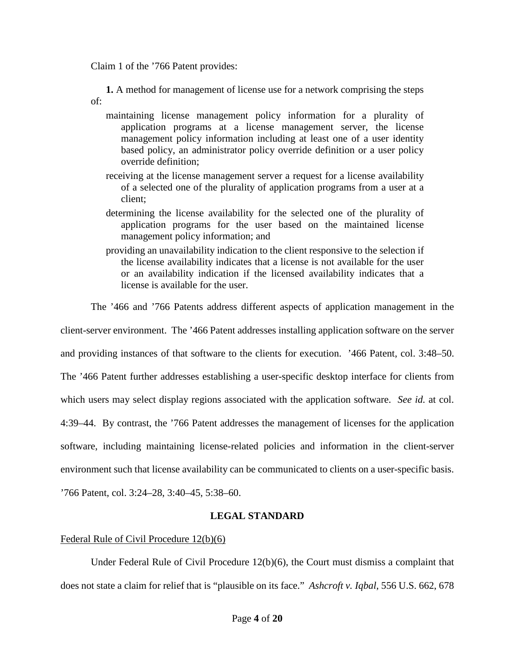Claim 1 of the '766 Patent provides:

**1.** A method for management of license use for a network comprising the steps of:

- maintaining license management policy information for a plurality of application programs at a license management server, the license management policy information including at least one of a user identity based policy, an administrator policy override definition or a user policy override definition;
- receiving at the license management server a request for a license availability of a selected one of the plurality of application programs from a user at a client;
- determining the license availability for the selected one of the plurality of application programs for the user based on the maintained license management policy information; and
- providing an unavailability indication to the client responsive to the selection if the license availability indicates that a license is not available for the user or an availability indication if the licensed availability indicates that a license is available for the user.

The '466 and '766 Patents address different aspects of application management in the

client-server environment. The '466 Patent addresses installing application software on the server and providing instances of that software to the clients for execution. '466 Patent, col. 3:48–50.

The '466 Patent further addresses establishing a user-specific desktop interface for clients from

which users may select display regions associated with the application software. *See id.* at col.

4:39–44. By contrast, the '766 Patent addresses the management of licenses for the application

software, including maintaining license-related policies and information in the client-server

environment such that license availability can be communicated to clients on a user-specific basis.

'766 Patent, col. 3:24–28, 3:40–45, 5:38–60.

## **LEGAL STANDARD**

## Federal Rule of Civil Procedure 12(b)(6)

Under Federal Rule of Civil Procedure 12(b)(6), the Court must dismiss a complaint that does not state a claim for relief that is "plausible on its face." *Ashcroft v. Iqbal*, 556 U.S. 662, 678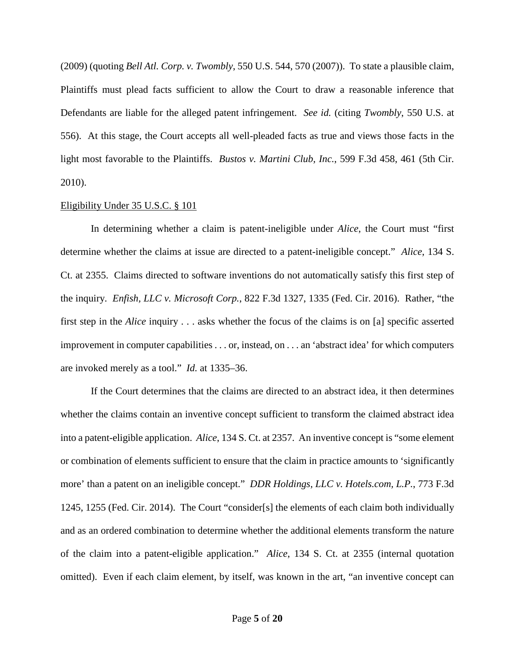(2009) (quoting *Bell Atl. Corp. v. Twombly*, 550 U.S. 544, 570 (2007)). To state a plausible claim, Plaintiffs must plead facts sufficient to allow the Court to draw a reasonable inference that Defendants are liable for the alleged patent infringement. *See id.* (citing *Twombly*, 550 U.S. at 556). At this stage, the Court accepts all well-pleaded facts as true and views those facts in the light most favorable to the Plaintiffs. *Bustos v. Martini Club, Inc.*, 599 F.3d 458, 461 (5th Cir. 2010).

### Eligibility Under 35 U.S.C. § 101

In determining whether a claim is patent-ineligible under *Alice*, the Court must "first determine whether the claims at issue are directed to a patent-ineligible concept." *Alice*, 134 S. Ct. at 2355. Claims directed to software inventions do not automatically satisfy this first step of the inquiry. *Enfish, LLC v. Microsoft Corp.*, 822 F.3d 1327, 1335 (Fed. Cir. 2016). Rather, "the first step in the *Alice* inquiry . . . asks whether the focus of the claims is on [a] specific asserted improvement in computer capabilities . . . or, instead, on . . . an 'abstract idea' for which computers are invoked merely as a tool." *Id.* at 1335–36.

If the Court determines that the claims are directed to an abstract idea, it then determines whether the claims contain an inventive concept sufficient to transform the claimed abstract idea into a patent-eligible application. *Alice*, 134 S. Ct. at 2357. An inventive concept is "some element or combination of elements sufficient to ensure that the claim in practice amounts to 'significantly more' than a patent on an ineligible concept." *DDR Holdings, LLC v. Hotels.com, L.P.*, 773 F.3d 1245, 1255 (Fed. Cir. 2014). The Court "consider[s] the elements of each claim both individually and as an ordered combination to determine whether the additional elements transform the nature of the claim into a patent-eligible application." *Alice*, 134 S. Ct. at 2355 (internal quotation omitted). Even if each claim element, by itself, was known in the art, "an inventive concept can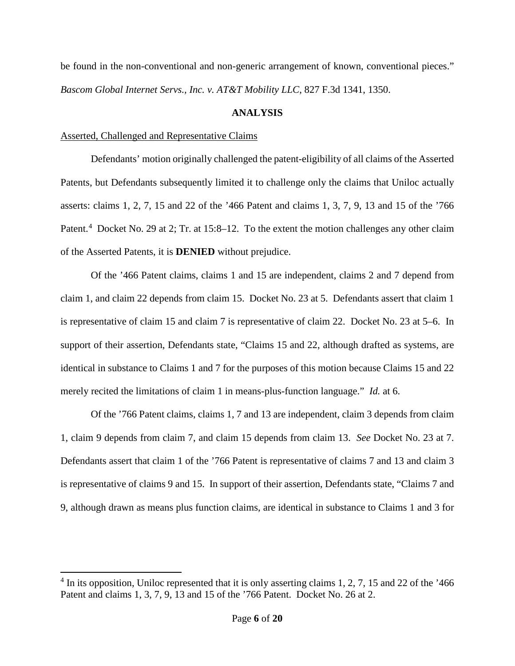be found in the non-conventional and non-generic arrangement of known, conventional pieces." *Bascom Global Internet Servs., Inc. v. AT&T Mobility LLC*, 827 F.3d 1341, 1350.

## **ANALYSIS**

## Asserted, Challenged and Representative Claims

 $\overline{a}$ 

Defendants' motion originally challenged the patent-eligibility of all claims of the Asserted Patents, but Defendants subsequently limited it to challenge only the claims that Uniloc actually asserts: claims 1, 2, 7, 15 and 22 of the '466 Patent and claims 1, 3, 7, 9, 13 and 15 of the '766 Patent.<sup>4</sup> Docket No. 29 at 2; Tr. at 15:8–12. To the extent the motion challenges any other claim of the Asserted Patents, it is **DENIED** without prejudice.

Of the '466 Patent claims, claims 1 and 15 are independent, claims 2 and 7 depend from claim 1, and claim 22 depends from claim 15. Docket No. 23 at 5. Defendants assert that claim 1 is representative of claim 15 and claim 7 is representative of claim 22. Docket No. 23 at 5–6. In support of their assertion, Defendants state, "Claims 15 and 22, although drafted as systems, are identical in substance to Claims 1 and 7 for the purposes of this motion because Claims 15 and 22 merely recited the limitations of claim 1 in means-plus-function language." *Id.* at 6.

Of the '766 Patent claims, claims 1, 7 and 13 are independent, claim 3 depends from claim 1, claim 9 depends from claim 7, and claim 15 depends from claim 13. *See* Docket No. 23 at 7. Defendants assert that claim 1 of the '766 Patent is representative of claims 7 and 13 and claim 3 is representative of claims 9 and 15. In support of their assertion, Defendants state, "Claims 7 and 9, although drawn as means plus function claims, are identical in substance to Claims 1 and 3 for

<sup>&</sup>lt;sup>4</sup> In its opposition, Uniloc represented that it is only asserting claims 1, 2, 7, 15 and 22 of the '466 Patent and claims 1, 3, 7, 9, 13 and 15 of the '766 Patent. Docket No. 26 at 2.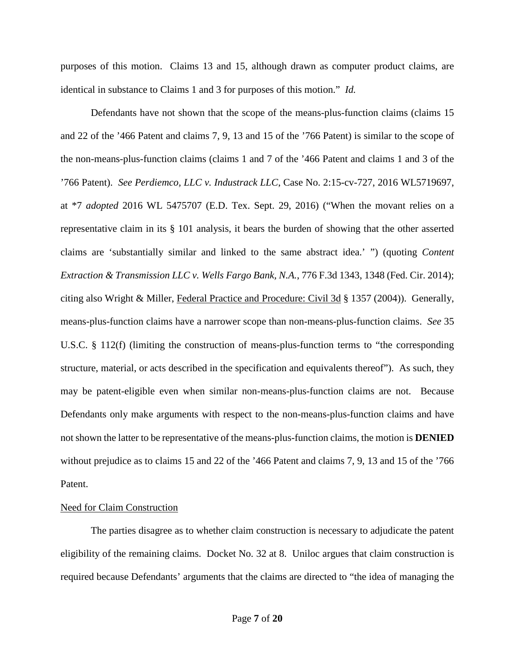purposes of this motion. Claims 13 and 15, although drawn as computer product claims, are identical in substance to Claims 1 and 3 for purposes of this motion." *Id.*

Defendants have not shown that the scope of the means-plus-function claims (claims 15 and 22 of the '466 Patent and claims 7, 9, 13 and 15 of the '766 Patent) is similar to the scope of the non-means-plus-function claims (claims 1 and 7 of the '466 Patent and claims 1 and 3 of the '766 Patent). *See Perdiemco, LLC v. Industrack LLC*, Case No. 2:15-cv-727, 2016 WL5719697, at \*7 *adopted* 2016 WL 5475707 (E.D. Tex. Sept. 29, 2016) ("When the movant relies on a representative claim in its § 101 analysis, it bears the burden of showing that the other asserted claims are 'substantially similar and linked to the same abstract idea.' ") (quoting *Content Extraction & Transmission LLC v. Wells Fargo Bank, N.A.*, 776 F.3d 1343, 1348 (Fed. Cir. 2014); citing also Wright & Miller, Federal Practice and Procedure: Civil 3d § 1357 (2004)).Generally, means-plus-function claims have a narrower scope than non-means-plus-function claims. *See* 35 U.S.C. § 112(f) (limiting the construction of means-plus-function terms to "the corresponding structure, material, or acts described in the specification and equivalents thereof"). As such, they may be patent-eligible even when similar non-means-plus-function claims are not. Because Defendants only make arguments with respect to the non-means-plus-function claims and have not shown the latter to be representative of the means-plus-function claims, the motion is **DENIED** without prejudice as to claims 15 and 22 of the '466 Patent and claims 7, 9, 13 and 15 of the '766 Patent.

### Need for Claim Construction

The parties disagree as to whether claim construction is necessary to adjudicate the patent eligibility of the remaining claims. Docket No. 32 at 8. Uniloc argues that claim construction is required because Defendants' arguments that the claims are directed to "the idea of managing the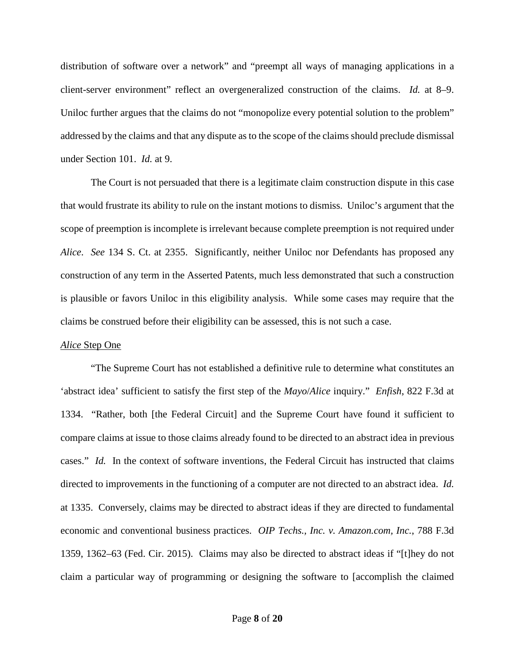distribution of software over a network" and "preempt all ways of managing applications in a client-server environment" reflect an overgeneralized construction of the claims. *Id.* at 8–9. Uniloc further argues that the claims do not "monopolize every potential solution to the problem" addressed by the claims and that any dispute as to the scope of the claims should preclude dismissal under Section 101. *Id.* at 9.

The Court is not persuaded that there is a legitimate claim construction dispute in this case that would frustrate its ability to rule on the instant motions to dismiss. Uniloc's argument that the scope of preemption is incomplete is irrelevant because complete preemption is not required under *Alice*. *See* 134 S. Ct. at 2355. Significantly, neither Uniloc nor Defendants has proposed any construction of any term in the Asserted Patents, much less demonstrated that such a construction is plausible or favors Uniloc in this eligibility analysis. While some cases may require that the claims be construed before their eligibility can be assessed, this is not such a case.

### *Alice* Step One

"The Supreme Court has not established a definitive rule to determine what constitutes an 'abstract idea' sufficient to satisfy the first step of the *Mayo*/*Alice* inquiry." *Enfish*, 822 F.3d at 1334. "Rather, both [the Federal Circuit] and the Supreme Court have found it sufficient to compare claims at issue to those claims already found to be directed to an abstract idea in previous cases." *Id.* In the context of software inventions, the Federal Circuit has instructed that claims directed to improvements in the functioning of a computer are not directed to an abstract idea. *Id.*  at 1335. Conversely, claims may be directed to abstract ideas if they are directed to fundamental economic and conventional business practices. *OIP Techs., Inc. v. Amazon.com, Inc.*, 788 F.3d 1359, 1362–63 (Fed. Cir. 2015). Claims may also be directed to abstract ideas if "[t]hey do not claim a particular way of programming or designing the software to [accomplish the claimed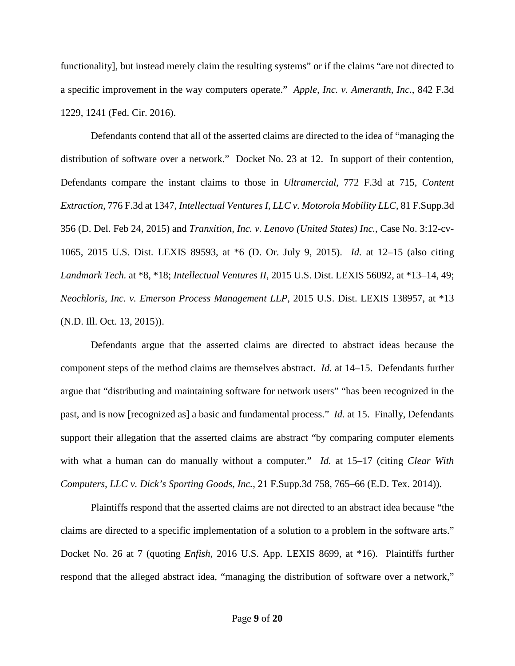functionality], but instead merely claim the resulting systems" or if the claims "are not directed to a specific improvement in the way computers operate." *Apple, Inc. v. Ameranth, Inc.*, 842 F.3d 1229, 1241 (Fed. Cir. 2016).

Defendants contend that all of the asserted claims are directed to the idea of "managing the distribution of software over a network." Docket No. 23 at 12. In support of their contention, Defendants compare the instant claims to those in *Ultramercial*, 772 F.3d at 715, *Content Extraction*, 776 F.3d at 1347, *Intellectual Ventures I, LLC v. Motorola Mobility LLC*, 81 F.Supp.3d 356 (D. Del. Feb 24, 2015) and *Tranxition, Inc. v. Lenovo (United States) Inc.*, Case No. 3:12-cv-1065, 2015 U.S. Dist. LEXIS 89593, at \*6 (D. Or. July 9, 2015). *Id.* at 12–15 (also citing *Landmark Tech.* at \*8, \*18; *Intellectual Ventures II*, 2015 U.S. Dist. LEXIS 56092, at \*13–14, 49; *Neochloris, Inc. v. Emerson Process Management LLP*, 2015 U.S. Dist. LEXIS 138957, at \*13 (N.D. Ill. Oct. 13, 2015)).

Defendants argue that the asserted claims are directed to abstract ideas because the component steps of the method claims are themselves abstract. *Id.* at 14–15. Defendants further argue that "distributing and maintaining software for network users" "has been recognized in the past, and is now [recognized as] a basic and fundamental process." *Id.* at 15. Finally, Defendants support their allegation that the asserted claims are abstract "by comparing computer elements with what a human can do manually without a computer." *Id.* at 15–17 (citing *Clear With Computers, LLC v. Dick's Sporting Goods, Inc.*, 21 F.Supp.3d 758, 765–66 (E.D. Tex. 2014)).

Plaintiffs respond that the asserted claims are not directed to an abstract idea because "the claims are directed to a specific implementation of a solution to a problem in the software arts." Docket No. 26 at 7 (quoting *Enfish*, 2016 U.S. App. LEXIS 8699, at \*16). Plaintiffs further respond that the alleged abstract idea, "managing the distribution of software over a network,"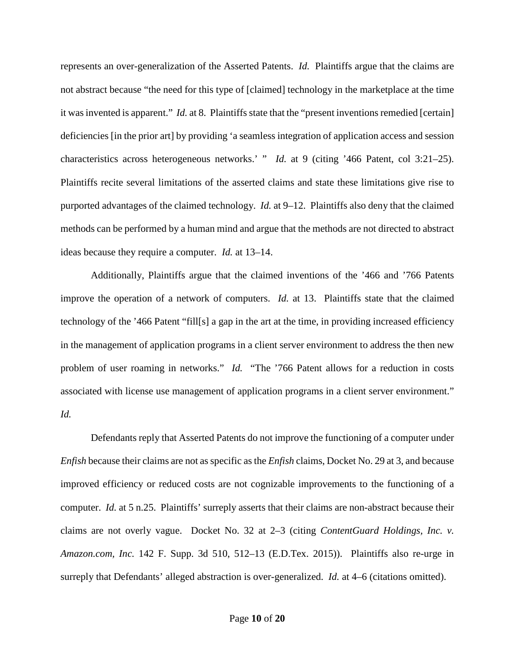represents an over-generalization of the Asserted Patents. *Id.* Plaintiffs argue that the claims are not abstract because "the need for this type of [claimed] technology in the marketplace at the time it was invented is apparent." *Id.* at 8. Plaintiffs state that the "present inventions remedied [certain] deficiencies [in the prior art] by providing 'a seamless integration of application access and session characteristics across heterogeneous networks.' " *Id.* at 9 (citing '466 Patent, col 3:21–25). Plaintiffs recite several limitations of the asserted claims and state these limitations give rise to purported advantages of the claimed technology. *Id.* at 9–12. Plaintiffs also deny that the claimed methods can be performed by a human mind and argue that the methods are not directed to abstract ideas because they require a computer. *Id.* at 13–14.

 Additionally, Plaintiffs argue that the claimed inventions of the '466 and '766 Patents improve the operation of a network of computers. *Id.* at 13. Plaintiffs state that the claimed technology of the '466 Patent "fill[s] a gap in the art at the time, in providing increased efficiency in the management of application programs in a client server environment to address the then new problem of user roaming in networks." *Id.* "The '766 Patent allows for a reduction in costs associated with license use management of application programs in a client server environment." *Id.*

Defendants reply that Asserted Patents do not improve the functioning of a computer under *Enfish* because their claims are not as specific as the *Enfish* claims, Docket No. 29 at 3, and because improved efficiency or reduced costs are not cognizable improvements to the functioning of a computer. *Id.* at 5 n.25. Plaintiffs' surreply asserts that their claims are non-abstract because their claims are not overly vague. Docket No. 32 at 2–3 (citing *ContentGuard Holdings, Inc. v. Amazon.com, Inc.* 142 F. Supp. 3d 510, 512–13 (E.D.Tex. 2015)). Plaintiffs also re-urge in surreply that Defendants' alleged abstraction is over-generalized. *Id.* at 4–6 (citations omitted).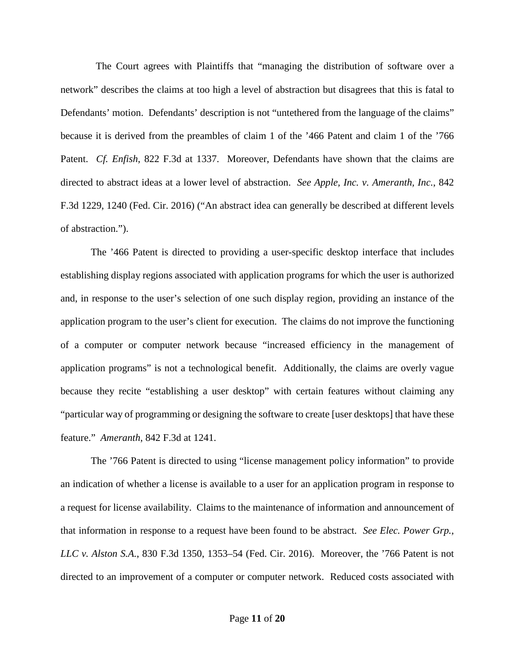The Court agrees with Plaintiffs that "managing the distribution of software over a network" describes the claims at too high a level of abstraction but disagrees that this is fatal to Defendants' motion. Defendants' description is not "untethered from the language of the claims" because it is derived from the preambles of claim 1 of the '466 Patent and claim 1 of the '766 Patent. *Cf. Enfish*, 822 F.3d at 1337. Moreover, Defendants have shown that the claims are directed to abstract ideas at a lower level of abstraction. *See Apple, Inc. v. Ameranth, Inc.*, 842 F.3d 1229, 1240 (Fed. Cir. 2016) ("An abstract idea can generally be described at different levels of abstraction.").

The '466 Patent is directed to providing a user-specific desktop interface that includes establishing display regions associated with application programs for which the user is authorized and, in response to the user's selection of one such display region, providing an instance of the application program to the user's client for execution. The claims do not improve the functioning of a computer or computer network because "increased efficiency in the management of application programs" is not a technological benefit. Additionally, the claims are overly vague because they recite "establishing a user desktop" with certain features without claiming any "particular way of programming or designing the software to create [user desktops] that have these feature." *Ameranth*, 842 F.3d at 1241.

The '766 Patent is directed to using "license management policy information" to provide an indication of whether a license is available to a user for an application program in response to a request for license availability. Claims to the maintenance of information and announcement of that information in response to a request have been found to be abstract. *See Elec. Power Grp., LLC v. Alston S.A.*, 830 F.3d 1350, 1353–54 (Fed. Cir. 2016). Moreover, the '766 Patent is not directed to an improvement of a computer or computer network. Reduced costs associated with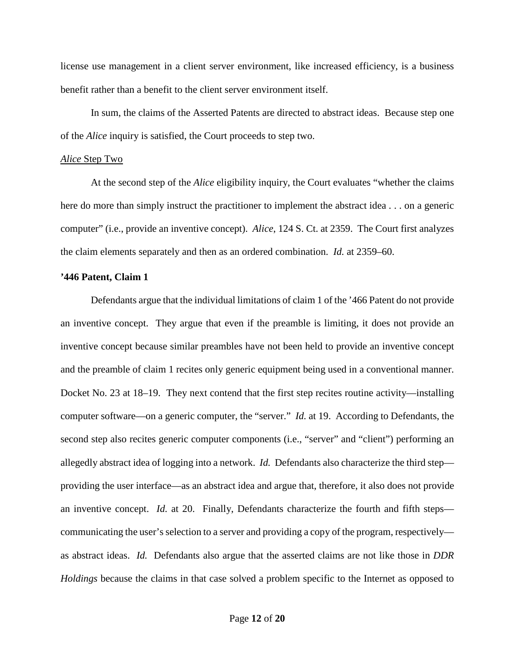license use management in a client server environment, like increased efficiency, is a business benefit rather than a benefit to the client server environment itself.

In sum, the claims of the Asserted Patents are directed to abstract ideas. Because step one of the *Alice* inquiry is satisfied, the Court proceeds to step two.

#### *Alice* Step Two

At the second step of the *Alice* eligibility inquiry, the Court evaluates "whether the claims here do more than simply instruct the practitioner to implement the abstract idea . . . on a generic computer" (i.e., provide an inventive concept). *Alice*, 124 S. Ct. at 2359. The Court first analyzes the claim elements separately and then as an ordered combination. *Id.* at 2359–60.

### **'446 Patent, Claim 1**

Defendants argue that the individual limitations of claim 1 of the '466 Patent do not provide an inventive concept. They argue that even if the preamble is limiting, it does not provide an inventive concept because similar preambles have not been held to provide an inventive concept and the preamble of claim 1 recites only generic equipment being used in a conventional manner. Docket No. 23 at 18–19. They next contend that the first step recites routine activity—installing computer software—on a generic computer, the "server." *Id.* at 19. According to Defendants, the second step also recites generic computer components (i.e., "server" and "client") performing an allegedly abstract idea of logging into a network. *Id.* Defendants also characterize the third step providing the user interface—as an abstract idea and argue that, therefore, it also does not provide an inventive concept. *Id.* at 20. Finally, Defendants characterize the fourth and fifth steps communicating the user's selection to a server and providing a copy of the program, respectively as abstract ideas. *Id.* Defendants also argue that the asserted claims are not like those in *DDR Holdings* because the claims in that case solved a problem specific to the Internet as opposed to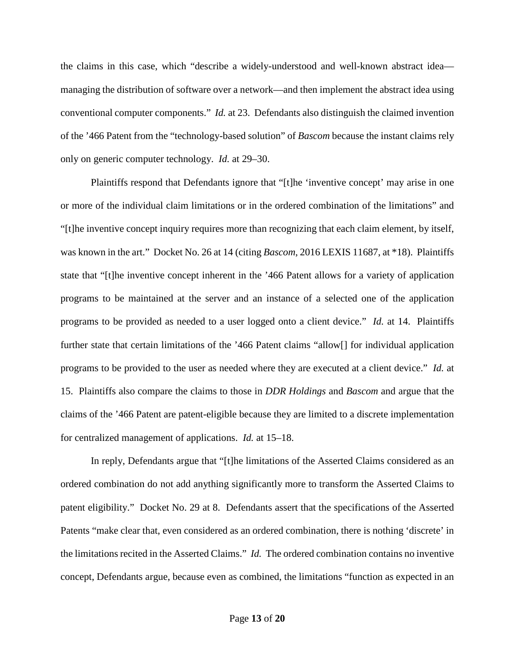the claims in this case, which "describe a widely-understood and well-known abstract idea managing the distribution of software over a network—and then implement the abstract idea using conventional computer components." *Id.* at 23. Defendants also distinguish the claimed invention of the '466 Patent from the "technology-based solution" of *Bascom* because the instant claims rely only on generic computer technology. *Id.* at 29–30.

Plaintiffs respond that Defendants ignore that "[t]he 'inventive concept' may arise in one or more of the individual claim limitations or in the ordered combination of the limitations" and "[t]he inventive concept inquiry requires more than recognizing that each claim element, by itself, was known in the art." Docket No. 26 at 14 (citing *Bascom*, 2016 LEXIS 11687, at \*18). Plaintiffs state that "[t]he inventive concept inherent in the '466 Patent allows for a variety of application programs to be maintained at the server and an instance of a selected one of the application programs to be provided as needed to a user logged onto a client device." *Id.* at 14. Plaintiffs further state that certain limitations of the '466 Patent claims "allow[] for individual application programs to be provided to the user as needed where they are executed at a client device." *Id.* at 15. Plaintiffs also compare the claims to those in *DDR Holdings* and *Bascom* and argue that the claims of the '466 Patent are patent-eligible because they are limited to a discrete implementation for centralized management of applications. *Id.* at 15–18.

In reply, Defendants argue that "[t]he limitations of the Asserted Claims considered as an ordered combination do not add anything significantly more to transform the Asserted Claims to patent eligibility." Docket No. 29 at 8. Defendants assert that the specifications of the Asserted Patents "make clear that, even considered as an ordered combination, there is nothing 'discrete' in the limitations recited in the Asserted Claims." *Id.* The ordered combination contains no inventive concept, Defendants argue, because even as combined, the limitations "function as expected in an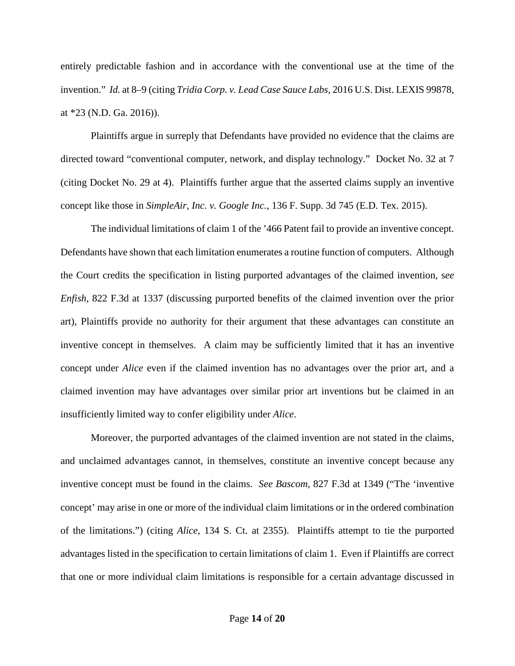entirely predictable fashion and in accordance with the conventional use at the time of the invention." *Id.* at 8–9 (citing *Tridia Corp. v. Lead Case Sauce Labs*, 2016 U.S. Dist. LEXIS 99878, at \*23 (N.D. Ga. 2016)).

Plaintiffs argue in surreply that Defendants have provided no evidence that the claims are directed toward "conventional computer, network, and display technology." Docket No. 32 at 7 (citing Docket No. 29 at 4). Plaintiffs further argue that the asserted claims supply an inventive concept like those in *SimpleAir, Inc. v. Google Inc.*, 136 F. Supp. 3d 745 (E.D. Tex. 2015).

The individual limitations of claim 1 of the '466 Patent fail to provide an inventive concept. Defendants have shown that each limitation enumerates a routine function of computers. Although the Court credits the specification in listing purported advantages of the claimed invention, s*ee Enfish*, 822 F.3d at 1337 (discussing purported benefits of the claimed invention over the prior art), Plaintiffs provide no authority for their argument that these advantages can constitute an inventive concept in themselves. A claim may be sufficiently limited that it has an inventive concept under *Alice* even if the claimed invention has no advantages over the prior art, and a claimed invention may have advantages over similar prior art inventions but be claimed in an insufficiently limited way to confer eligibility under *Alice*.

Moreover, the purported advantages of the claimed invention are not stated in the claims, and unclaimed advantages cannot, in themselves, constitute an inventive concept because any inventive concept must be found in the claims. *See Bascom*, 827 F.3d at 1349 ("The 'inventive concept' may arise in one or more of the individual claim limitations or in the ordered combination of the limitations.") (citing *Alice*, 134 S. Ct. at 2355). Plaintiffs attempt to tie the purported advantages listed in the specification to certain limitations of claim 1. Even if Plaintiffs are correct that one or more individual claim limitations is responsible for a certain advantage discussed in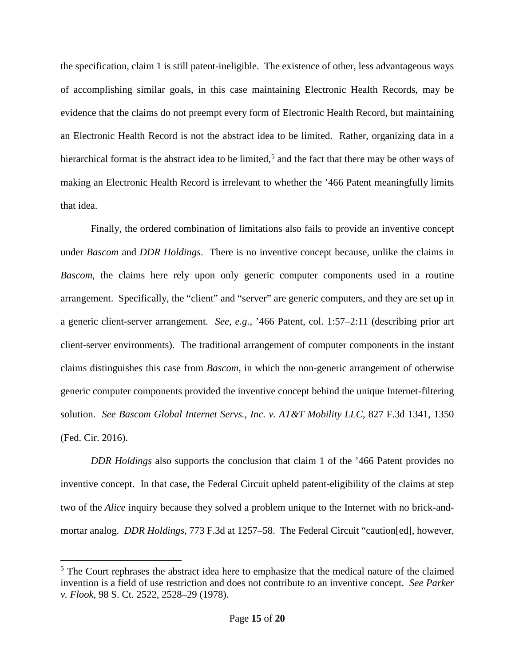the specification, claim 1 is still patent-ineligible. The existence of other, less advantageous ways of accomplishing similar goals, in this case maintaining Electronic Health Records, may be evidence that the claims do not preempt every form of Electronic Health Record, but maintaining an Electronic Health Record is not the abstract idea to be limited. Rather, organizing data in a hierarchical format is the abstract idea to be limited,<sup>5</sup> and the fact that there may be other ways of making an Electronic Health Record is irrelevant to whether the '466 Patent meaningfully limits that idea.

Finally, the ordered combination of limitations also fails to provide an inventive concept under *Bascom* and *DDR Holdings*. There is no inventive concept because, unlike the claims in *Bascom*, the claims here rely upon only generic computer components used in a routine arrangement. Specifically, the "client" and "server" are generic computers, and they are set up in a generic client-server arrangement. *See, e.g.*, '466 Patent, col. 1:57–2:11 (describing prior art client-server environments). The traditional arrangement of computer components in the instant claims distinguishes this case from *Bascom*, in which the non-generic arrangement of otherwise generic computer components provided the inventive concept behind the unique Internet-filtering solution. *See Bascom Global Internet Servs., Inc. v. AT&T Mobility LLC*, 827 F.3d 1341, 1350 (Fed. Cir. 2016).

*DDR Holdings* also supports the conclusion that claim 1 of the '466 Patent provides no inventive concept. In that case, the Federal Circuit upheld patent-eligibility of the claims at step two of the *Alice* inquiry because they solved a problem unique to the Internet with no brick-andmortar analog. *DDR Holdings*, 773 F.3d at 1257–58. The Federal Circuit "caution[ed], however,

 $\overline{a}$ 

<sup>&</sup>lt;sup>5</sup> The Court rephrases the abstract idea here to emphasize that the medical nature of the claimed invention is a field of use restriction and does not contribute to an inventive concept. *See Parker v. Flook*, 98 S. Ct. 2522, 2528–29 (1978).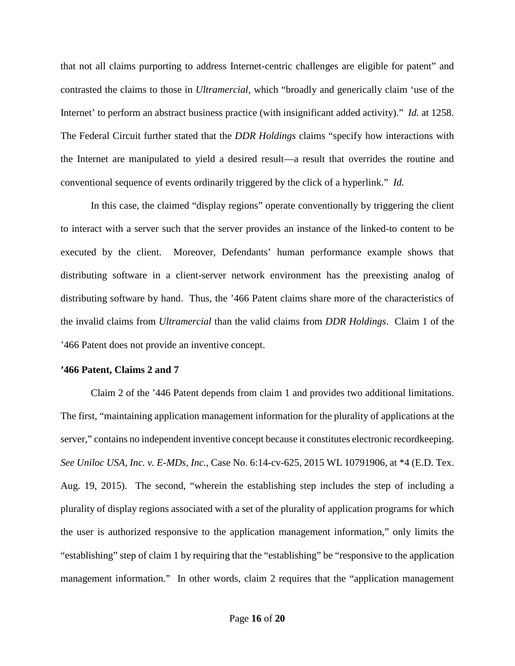that not all claims purporting to address Internet-centric challenges are eligible for patent" and contrasted the claims to those in *Ultramercial*, which "broadly and generically claim 'use of the Internet' to perform an abstract business practice (with insignificant added activity)." *Id.* at 1258. The Federal Circuit further stated that the *DDR Holdings* claims "specify how interactions with the Internet are manipulated to yield a desired result—a result that overrides the routine and conventional sequence of events ordinarily triggered by the click of a hyperlink." *Id.*

In this case, the claimed "display regions" operate conventionally by triggering the client to interact with a server such that the server provides an instance of the linked-to content to be executed by the client. Moreover, Defendants' human performance example shows that distributing software in a client-server network environment has the preexisting analog of distributing software by hand. Thus, the '466 Patent claims share more of the characteristics of the invalid claims from *Ultramercial* than the valid claims from *DDR Holdings*. Claim 1 of the '466 Patent does not provide an inventive concept.

### **'466 Patent, Claims 2 and 7**

Claim 2 of the '446 Patent depends from claim 1 and provides two additional limitations. The first, "maintaining application management information for the plurality of applications at the server," contains no independent inventive concept because it constitutes electronic recordkeeping. *See Uniloc USA, Inc. v. E-MDs, Inc.*, Case No. 6:14-cv-625, 2015 WL 10791906, at \*4 (E.D. Tex. Aug. 19, 2015). The second, "wherein the establishing step includes the step of including a plurality of display regions associated with a set of the plurality of application programs for which the user is authorized responsive to the application management information," only limits the "establishing" step of claim 1 by requiring that the "establishing" be "responsive to the application management information." In other words, claim 2 requires that the "application management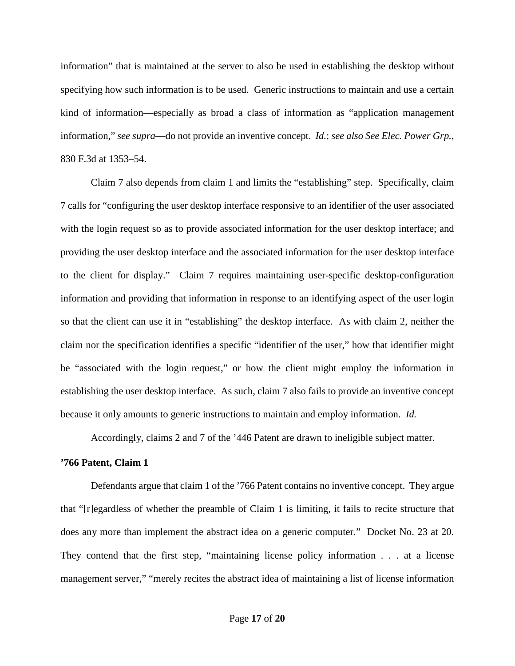information" that is maintained at the server to also be used in establishing the desktop without specifying how such information is to be used. Generic instructions to maintain and use a certain kind of information—especially as broad a class of information as "application management information," *see supra*—do not provide an inventive concept. *Id.*; *see also See Elec. Power Grp.*, 830 F.3d at 1353–54.

Claim 7 also depends from claim 1 and limits the "establishing" step. Specifically, claim 7 calls for "configuring the user desktop interface responsive to an identifier of the user associated with the login request so as to provide associated information for the user desktop interface; and providing the user desktop interface and the associated information for the user desktop interface to the client for display." Claim 7 requires maintaining user-specific desktop-configuration information and providing that information in response to an identifying aspect of the user login so that the client can use it in "establishing" the desktop interface. As with claim 2, neither the claim nor the specification identifies a specific "identifier of the user," how that identifier might be "associated with the login request," or how the client might employ the information in establishing the user desktop interface. As such, claim 7 also fails to provide an inventive concept because it only amounts to generic instructions to maintain and employ information. *Id.*

Accordingly, claims 2 and 7 of the '446 Patent are drawn to ineligible subject matter.

### **'766 Patent, Claim 1**

Defendants argue that claim 1 of the '766 Patent contains no inventive concept. They argue that "[r]egardless of whether the preamble of Claim 1 is limiting, it fails to recite structure that does any more than implement the abstract idea on a generic computer." Docket No. 23 at 20. They contend that the first step, "maintaining license policy information . . . at a license management server," "merely recites the abstract idea of maintaining a list of license information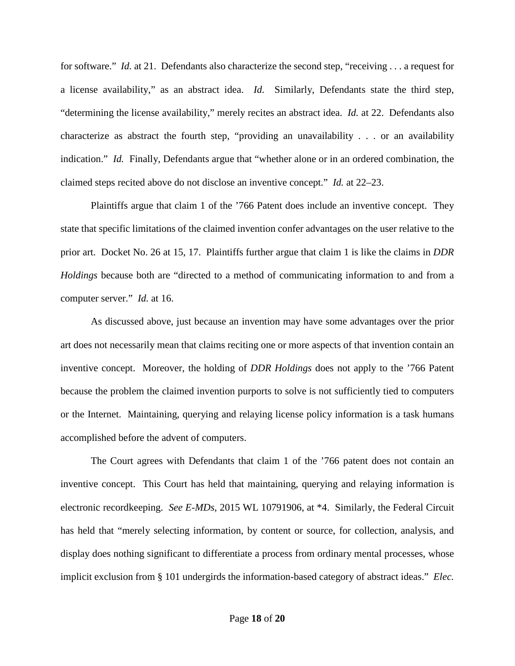for software." *Id.* at 21. Defendants also characterize the second step, "receiving . . . a request for a license availability," as an abstract idea. *Id.* Similarly, Defendants state the third step, "determining the license availability," merely recites an abstract idea. *Id.* at 22. Defendants also characterize as abstract the fourth step, "providing an unavailability . . . or an availability indication." *Id.* Finally, Defendants argue that "whether alone or in an ordered combination, the claimed steps recited above do not disclose an inventive concept." *Id.* at 22–23.

Plaintiffs argue that claim 1 of the '766 Patent does include an inventive concept. They state that specific limitations of the claimed invention confer advantages on the user relative to the prior art. Docket No. 26 at 15, 17. Plaintiffs further argue that claim 1 is like the claims in *DDR Holdings* because both are "directed to a method of communicating information to and from a computer server." *Id.* at 16.

As discussed above, just because an invention may have some advantages over the prior art does not necessarily mean that claims reciting one or more aspects of that invention contain an inventive concept. Moreover, the holding of *DDR Holdings* does not apply to the '766 Patent because the problem the claimed invention purports to solve is not sufficiently tied to computers or the Internet. Maintaining, querying and relaying license policy information is a task humans accomplished before the advent of computers.

The Court agrees with Defendants that claim 1 of the '766 patent does not contain an inventive concept. This Court has held that maintaining, querying and relaying information is electronic recordkeeping. *See E-MDs*, 2015 WL 10791906, at \*4. Similarly, the Federal Circuit has held that "merely selecting information, by content or source, for collection, analysis, and display does nothing significant to differentiate a process from ordinary mental processes, whose implicit exclusion from § 101 undergirds the information-based category of abstract ideas." *Elec.*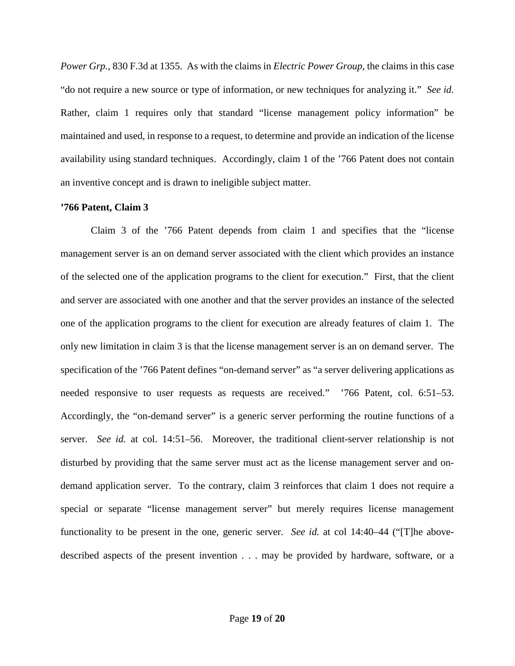*Power Grp.*, 830 F.3d at 1355. As with the claims in *Electric Power Group*, the claims in this case "do not require a new source or type of information, or new techniques for analyzing it." *See id.* Rather, claim 1 requires only that standard "license management policy information" be maintained and used, in response to a request, to determine and provide an indication of the license availability using standard techniques. Accordingly, claim 1 of the '766 Patent does not contain an inventive concept and is drawn to ineligible subject matter.

### **'766 Patent, Claim 3**

Claim 3 of the '766 Patent depends from claim 1 and specifies that the "license management server is an on demand server associated with the client which provides an instance of the selected one of the application programs to the client for execution." First, that the client and server are associated with one another and that the server provides an instance of the selected one of the application programs to the client for execution are already features of claim 1. The only new limitation in claim 3 is that the license management server is an on demand server. The specification of the '766 Patent defines "on-demand server" as "a server delivering applications as needed responsive to user requests as requests are received." '766 Patent, col. 6:51–53. Accordingly, the "on-demand server" is a generic server performing the routine functions of a server. *See id.* at col. 14:51–56. Moreover, the traditional client-server relationship is not disturbed by providing that the same server must act as the license management server and ondemand application server. To the contrary, claim 3 reinforces that claim 1 does not require a special or separate "license management server" but merely requires license management functionality to be present in the one, generic server. *See id.* at col 14:40–44 ("[T]he abovedescribed aspects of the present invention . . . may be provided by hardware, software, or a